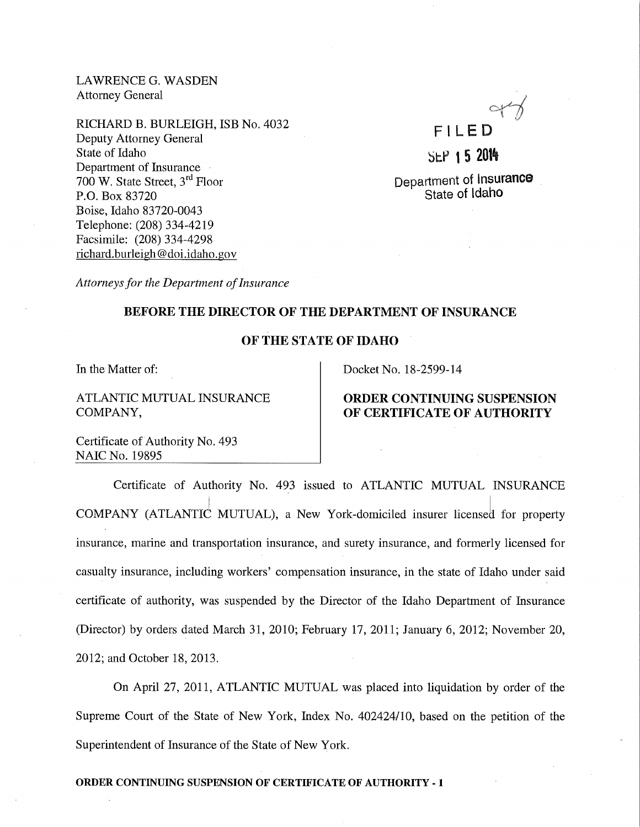LAWRENCE G. WASDEN Attorney General

RICHARD B. BURLEIGH, ISB No. 4032 Deputy Attorney General State of Idaho Department of Insurance 700 W. State Street, 3rd Floor P.O. Box 83720 Boise, Idaho 83720-0043 Telephone: (208) 334-4219 Facsimile: (208) 334-4298 richard.burleigh@ doi.idaho. gov

FILED SEP 1 5 2014

Department of Insurance State of Idaho

*Attorneys for the Department of Insurance* 

### BEFORE THE DIRECTOR OF THE DEPARTMENT OF INSURANCE

### OF THE STATE OF IDAHO

In the Matter of:

# ATLANTIC MUTUAL INSURANCE COMPANY,

Docket No. 18-2599-14

## ORDER CONTINUING SUSPENSION OF CERTIFICATE OF AUTHORITY

Certificate of Authority No. 493 NAIC No. 19895

Certificate of Authority No. 493 issued to ATLANTIC MUTUAL INSURANCE COMPANY (ATLANTIC MUTUAL), a New York-domiciled insurer licensed for property insurance, marine and transportation insurance, and surety insurance, and formerly licensed for casualty insurance, including workers' compensation insurance, in the state of Idaho under said certificate of authority, was suspended by the Director of the Idaho Department of Insurance (Director) by orders dated March 31, 2010; February 17, 20ll; January 6, 2012; November 20, 2012; and October 18, 2013.

On April 27, 20ll, ATLANTIC MUTUAL was placed into liquidation by order of the Supreme Court of the State of New York, Index No. 402424110, based on the petition of the Superintendent of Insurance of the State of New York.

### ORDER CONTINUING SUSPENSION OF CERTIFICATE OF AUTHORITY- 1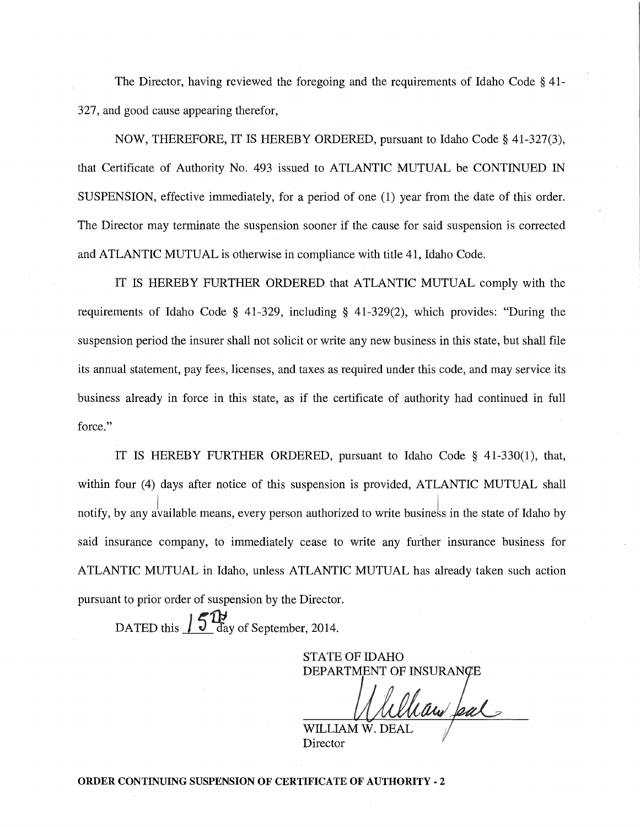The Director, having reviewed the foregoing and the requirements of Idaho Code § 41- 327, and good cause appearing therefor,

NOW, THEREFORE, IT IS HEREBY ORDERED, pursuant to Idaho Code§ 41-327(3), that Certificate of Authority No. 493 issued to ATLANTIC MUTUAL be CONTINUED IN SUSPENSION, effective immediately, for a period of one (1) year from the date of this order. The Director may terminate the suspension sooner if the cause for said suspension is corrected and ATLANTIC MUTUAL is otherwise in compliance with title 41, Idaho Code.

IT IS HEREBY FURTHER ORDERED that ATLANTIC MUTUAL comply with the requirements of Idaho Code § 41-329, including § 41-329(2), which provides: "During the suspension period the insurer shall not solicit or write any new business in this state, but shall file its annual statement, pay fees, licenses, and taxes as required under this code, and may service its business already in force in this state, as if the certificate of authority had continued in full force."

IT IS HEREBY FURTHER ORDERED, pursuant to Idaho Code § 41-330(1), that, within four (4) days after notice of this suspension is provided, ATLANTIC MUTUAL shall notify, by any available means, every person authorized to write business in the state of Idaho by said insurance company, to immediately cease to write any further insurance business for ATLANTIC MUTUAL in Idaho, unless ATLANTIC MUTUAL has already taken such action pursuant to prior order of suspension by the Director.

DATED this  $\int 5^{11}$  day of September, 2014.

STATE OF IDAHO DEPARTMENT OF INSURAN

haw feal

Director

ORDER CONTINUING SUSPENSION OF CERTIFICATE OF AUTHORITY- 2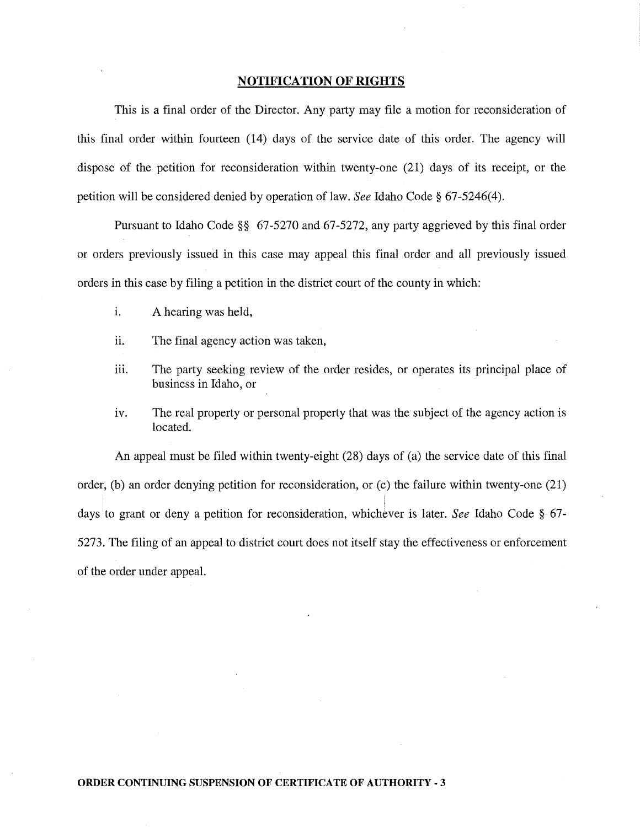### **NOTIFICATION OF RIGHTS**

This is a final order of the Director. Any party may file a motion for reconsideration of this final order within fourteen (14) days of the service date of this order. The agency will dispose of the petition for reconsideration within twenty-one (21) days of its receipt, or the petition will be considered denied by operation of law. *See* Idaho Code§ 67-5246(4).

Pursuant to Idaho Code§§ 67-5270 and 67-5272, any party aggrieved by this final order or orders previously issued in this case may appeal this final order and all previously issued orders in this case by filing a petition in the district court of the county in which:

- i. A hearing was held,
- ii. The final agency action was taken,
- iii. The party seeking review of the order resides, or operates its principal place of business in Idaho, or
- iv. The real property or personal property that was the subject of the agency action is located.

An appeal must be filed within twenty-eight (28) days of (a) the service date of this final order, (b) an order denying petition for reconsideration, or (c) the failure within twenty-one (21) days to grant or deny a petition for reconsideration, whichever is later. *See* Idaho Code § 67-5273. The filing of an appeal to district court does not itself stay the effectiveness or enforcement of the order under appeal.